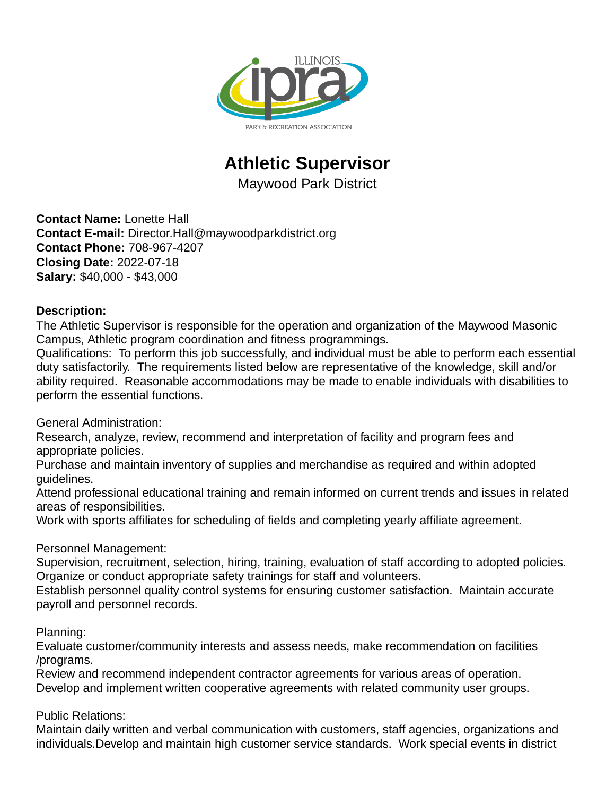

## **Athletic Supervisor**

Maywood Park District

**Contact Name:** Lonette Hall **Contact E-mail:** Director.Hall@maywoodparkdistrict.org **Contact Phone:** 708-967-4207 **Closing Date:** 2022-07-18 **Salary:** \$40,000 - \$43,000

## **Description:**

The Athletic Supervisor is responsible for the operation and organization of the Maywood Masonic Campus, Athletic program coordination and fitness programmings.

Qualifications: To perform this job successfully, and individual must be able to perform each essential duty satisfactorily. The requirements listed below are representative of the knowledge, skill and/or ability required. Reasonable accommodations may be made to enable individuals with disabilities to perform the essential functions.

General Administration:

Research, analyze, review, recommend and interpretation of facility and program fees and appropriate policies.

Purchase and maintain inventory of supplies and merchandise as required and within adopted guidelines.

Attend professional educational training and remain informed on current trends and issues in related areas of responsibilities.

Work with sports affiliates for scheduling of fields and completing yearly affiliate agreement.

## Personnel Management:

Supervision, recruitment, selection, hiring, training, evaluation of staff according to adopted policies. Organize or conduct appropriate safety trainings for staff and volunteers.

Establish personnel quality control systems for ensuring customer satisfaction. Maintain accurate payroll and personnel records.

Planning:

Evaluate customer/community interests and assess needs, make recommendation on facilities /programs.

Review and recommend independent contractor agreements for various areas of operation. Develop and implement written cooperative agreements with related community user groups.

## Public Relations:

Maintain daily written and verbal communication with customers, staff agencies, organizations and individuals.Develop and maintain high customer service standards. Work special events in district